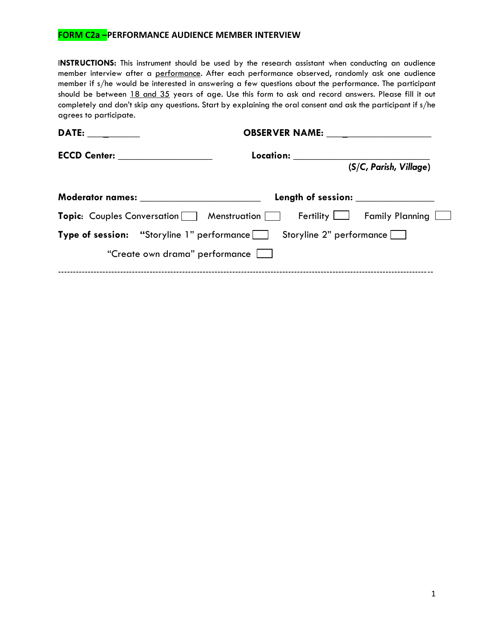## **FORM C2a –PERFORMANCE AUDIENCE MEMBER INTERVIEW**

I**NSTRUCTIONS:** This instrument should be used by the research assistant when conducting an audience member interview after a performance. After each performance observed, randomly ask one audience member if s/he would be interested in answering a few questions about the performance. The participant should be between 18 and 35 years of age. Use this form to ask and record answers. Please fill it out completely and don't skip any questions. Start by explaining the oral consent and ask the participant if s/he agrees to participate.

| <b>DATE:</b>                             |                                                                                  |                        |
|------------------------------------------|----------------------------------------------------------------------------------|------------------------|
|                                          | Location:                                                                        |                        |
|                                          |                                                                                  | (S/C, Parish, Village) |
| Moderator names: _______________________ | Length of session: Network of Session:                                           |                        |
|                                          | <b>Topic:</b> Couples Conversation Menstruation Fertility $\Box$ Family Planning |                        |
|                                          | <b>Type of session:</b> "Storyline 1" performance Storyline 2" performance       |                        |
| "Create own drama" performance           |                                                                                  |                        |
|                                          |                                                                                  |                        |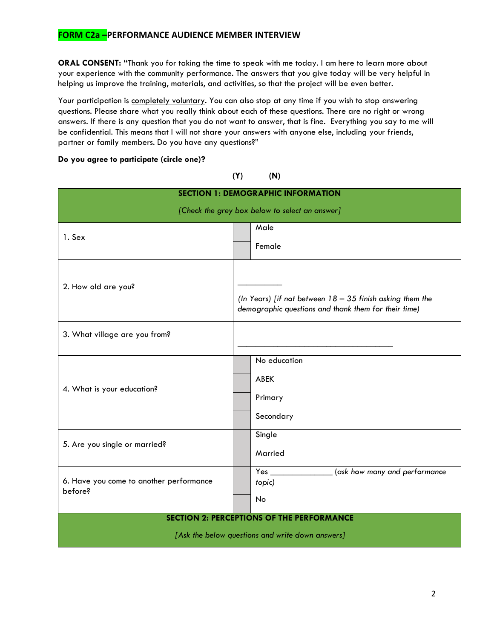## **FORM C2a –PERFORMANCE AUDIENCE MEMBER INTERVIEW**

**ORAL CONSENT: "**Thank you for taking the time to speak with me today. I am here to learn more about your experience with the community performance. The answers that you give today will be very helpful in helping us improve the training, materials, and activities, so that the project will be even better.

Your participation is completely voluntary. You can also stop at any time if you wish to stop answering questions. Please share what you really think about each of these questions. There are no right or wrong answers. If there is any question that you do not want to answer, that is fine. Everything you say to me will be confidential. This means that I will not share your answers with anyone else, including your friends, partner or family members. Do you have any questions?"

**Do you agree to participate (circle one)?** 

## **(Y) (N)**

| <b>SECTION 1: DEMOGRAPHIC INFORMATION</b>                                                            |                                                                                                                                                                                                                                                                                      |  |  |
|------------------------------------------------------------------------------------------------------|--------------------------------------------------------------------------------------------------------------------------------------------------------------------------------------------------------------------------------------------------------------------------------------|--|--|
| [Check the grey box below to select an answer]                                                       |                                                                                                                                                                                                                                                                                      |  |  |
| 1. Sex                                                                                               | Male                                                                                                                                                                                                                                                                                 |  |  |
|                                                                                                      | Female                                                                                                                                                                                                                                                                               |  |  |
| 2. How old are you?                                                                                  | (In Years) [if not between $18 - 35$ finish asking them the<br>demographic questions and thank them for their time)                                                                                                                                                                  |  |  |
| 3. What village are you from?                                                                        |                                                                                                                                                                                                                                                                                      |  |  |
| 4. What is your education?                                                                           | No education<br><b>ABEK</b><br>Primary<br>Secondary                                                                                                                                                                                                                                  |  |  |
| 5. Are you single or married?                                                                        | Single<br>Married                                                                                                                                                                                                                                                                    |  |  |
| 6. Have you come to another performance<br>before?                                                   | (ask how many and performance<br><b>Yes</b> and the set of the set of the set of the set of the set of the set of the set of the set of the set of the set of the set of the set of the set of the set of the set of the set of the set of the set of the set of the<br>topic)<br>No |  |  |
| <b>SECTION 2: PERCEPTIONS OF THE PERFORMANCE</b><br>[Ask the below questions and write down answers] |                                                                                                                                                                                                                                                                                      |  |  |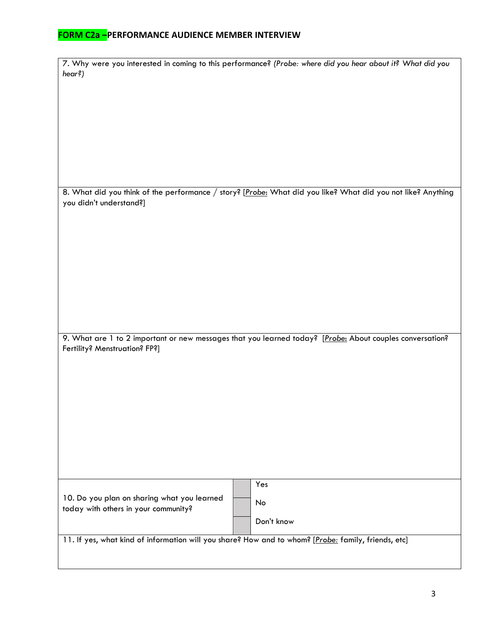## **FORM C2a –PERFORMANCE AUDIENCE MEMBER INTERVIEW**

|                                                                                                          | 7. Why were you interested in coming to this performance? (Probe: where did you hear about it? What did you  |  |  |
|----------------------------------------------------------------------------------------------------------|--------------------------------------------------------------------------------------------------------------|--|--|
| hear?)                                                                                                   |                                                                                                              |  |  |
|                                                                                                          |                                                                                                              |  |  |
|                                                                                                          |                                                                                                              |  |  |
|                                                                                                          |                                                                                                              |  |  |
|                                                                                                          |                                                                                                              |  |  |
|                                                                                                          |                                                                                                              |  |  |
|                                                                                                          |                                                                                                              |  |  |
|                                                                                                          |                                                                                                              |  |  |
|                                                                                                          |                                                                                                              |  |  |
|                                                                                                          |                                                                                                              |  |  |
|                                                                                                          |                                                                                                              |  |  |
| you didn't understand?]                                                                                  | 8. What did you think of the performance / story? [Probe: What did you like? What did you not like? Anything |  |  |
|                                                                                                          |                                                                                                              |  |  |
|                                                                                                          |                                                                                                              |  |  |
|                                                                                                          |                                                                                                              |  |  |
|                                                                                                          |                                                                                                              |  |  |
|                                                                                                          |                                                                                                              |  |  |
|                                                                                                          |                                                                                                              |  |  |
|                                                                                                          |                                                                                                              |  |  |
|                                                                                                          |                                                                                                              |  |  |
|                                                                                                          |                                                                                                              |  |  |
|                                                                                                          |                                                                                                              |  |  |
|                                                                                                          |                                                                                                              |  |  |
|                                                                                                          |                                                                                                              |  |  |
| 9. What are 1 to 2 important or new messages that you learned today? [Probe: About couples conversation? |                                                                                                              |  |  |
| Fertility? Menstruation? FP?]                                                                            |                                                                                                              |  |  |
|                                                                                                          |                                                                                                              |  |  |
|                                                                                                          |                                                                                                              |  |  |
|                                                                                                          |                                                                                                              |  |  |
|                                                                                                          |                                                                                                              |  |  |
|                                                                                                          |                                                                                                              |  |  |
|                                                                                                          |                                                                                                              |  |  |
|                                                                                                          |                                                                                                              |  |  |
|                                                                                                          |                                                                                                              |  |  |
|                                                                                                          |                                                                                                              |  |  |
|                                                                                                          |                                                                                                              |  |  |
|                                                                                                          |                                                                                                              |  |  |
|                                                                                                          |                                                                                                              |  |  |
|                                                                                                          | Yes                                                                                                          |  |  |
| 10. Do you plan on sharing what you learned                                                              | No                                                                                                           |  |  |
| today with others in your community?                                                                     |                                                                                                              |  |  |
|                                                                                                          | Don't know                                                                                                   |  |  |
|                                                                                                          |                                                                                                              |  |  |
|                                                                                                          | 11. If yes, what kind of information will you share? How and to whom? [Probe: family, friends, etc]          |  |  |